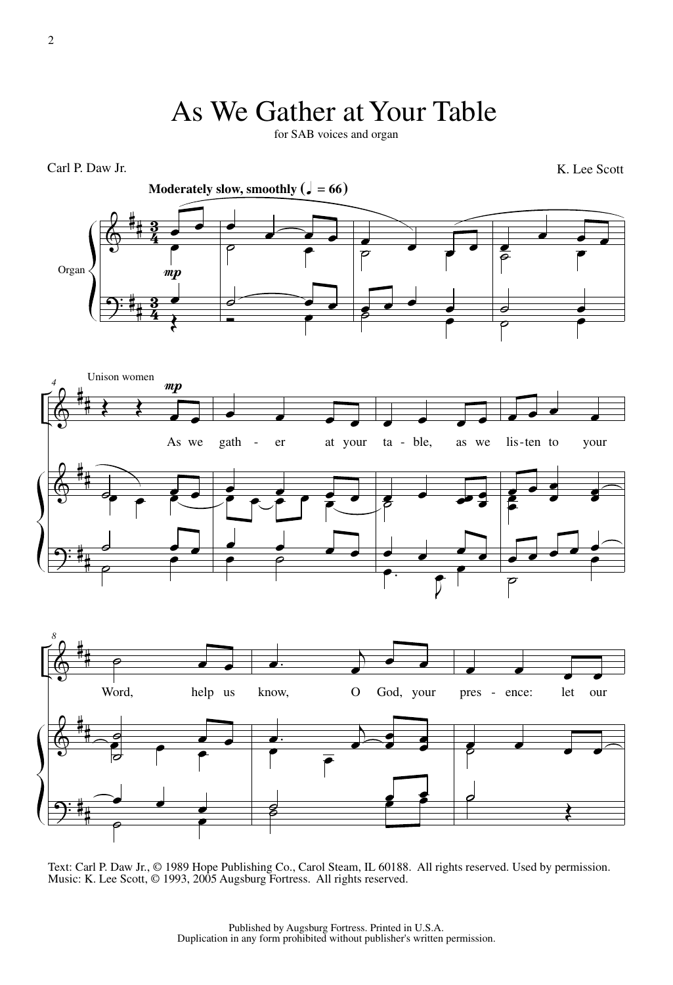## As We Gather at Your Table

for SAB voices and organ



Text: Carl P. Daw Jr., © 1989 Hope Publishing Co., Carol Steam, IL 60188. All rights reserved. Used by permission. Music: K. Lee Scott, © 1993, 2005 Augsburg Fortress. All rights reserved.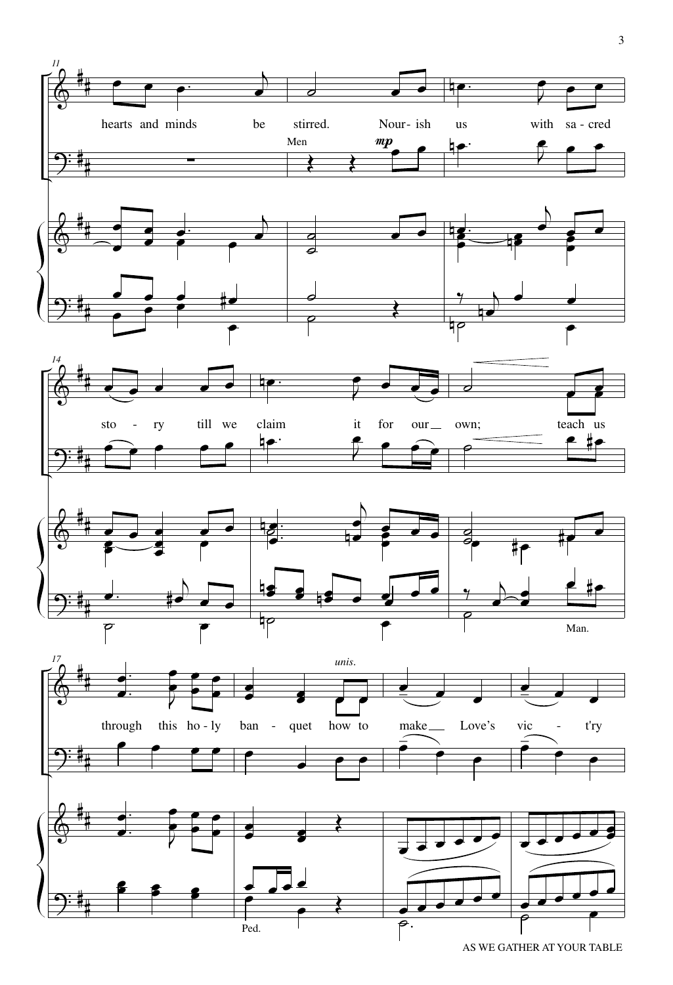

AS WE GATHER AT YOUR TABLE